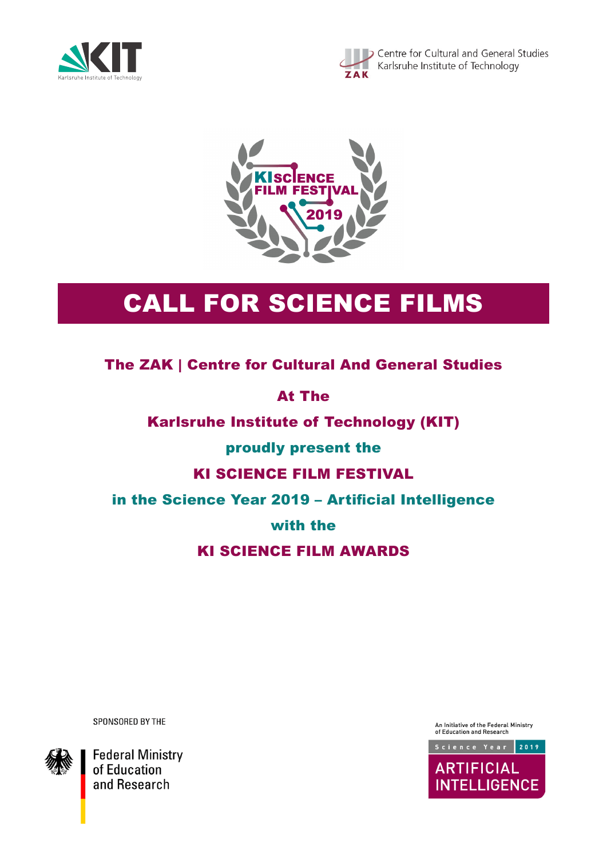





# CALL FOR SCIENCE FILMS

The ZAK | Centre for Cultural And General Studies

At The

Karlsruhe Institute of Technology (KIT)

proudly present the

# KI SCIENCE FILM FESTIVAL

in the Science Year 2019 – Artificial Intelligence

with the

# KI SCIENCE FILM AWARDS

SPONSORED BY THE



**Federal Ministry** of Education and Research

An Initiative of the Federal Ministry<br>of Education and Research

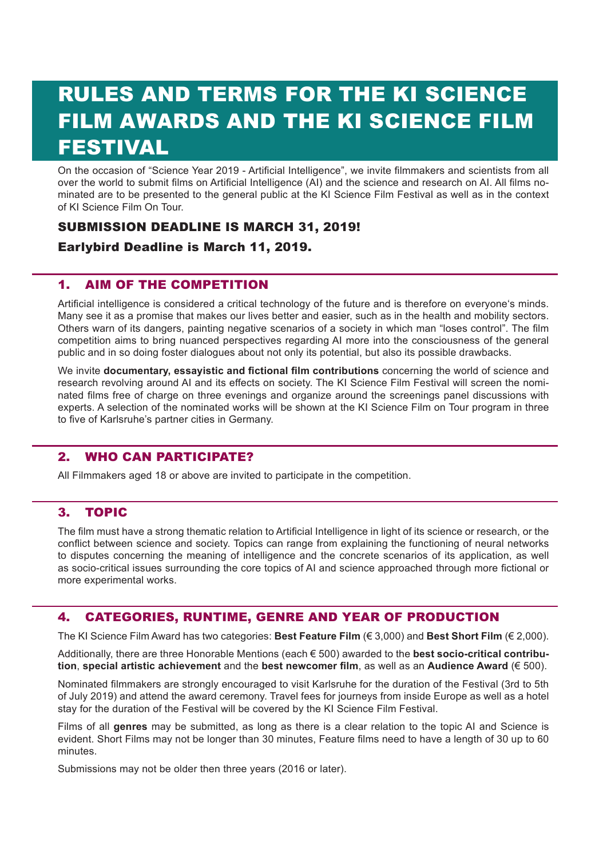# RULES AND TERMS FOR THE KI SCIENCE FILM AWARDS AND THE KI SCIENCE FILM FESTIVAL

On the occasion of "Science Year 2019 - Artificial Intelligence", we invite filmmakers and scientists from all over the world to submit films on Artificial Intelligence (AI) and the science and research on AI. All films nominated are to be presented to the general public at the KI Science Film Festival as well as in the context of KI Science Film On Tour.

## SUBMISSION DEADLINE IS MARCH 31, 2019!

## Earlybird Deadline is March 11, 2019.

#### 1. AIM OF THE COMPETITION

Artificial intelligence is considered a critical technology of the future and is therefore on everyone's minds. Many see it as a promise that makes our lives better and easier, such as in the health and mobility sectors. Others warn of its dangers, painting negative scenarios of a society in which man "loses control". The film competition aims to bring nuanced perspectives regarding AI more into the consciousness of the general public and in so doing foster dialogues about not only its potential, but also its possible drawbacks.

We invite **documentary, essayistic and fictional film contributions** concerning the world of science and research revolving around AI and its effects on society. The KI Science Film Festival will screen the nominated films free of charge on three evenings and organize around the screenings panel discussions with experts. A selection of the nominated works will be shown at the KI Science Film on Tour program in three to five of Karlsruhe's partner cities in Germany.

## 2. WHO CAN PARTICIPATE?

All Filmmakers aged 18 or above are invited to participate in the competition.

#### 3. TOPIC

The film must have a strong thematic relation to Artificial Intelligence in light of its science or research, or the conflict between science and society. Topics can range from explaining the functioning of neural networks to disputes concerning the meaning of intelligence and the concrete scenarios of its application, as well as socio-critical issues surrounding the core topics of AI and science approached through more fictional or more experimental works.

## 4. CATEGORIES, RUNTIME, GENRE AND YEAR OF PRODUCTION

The KI Science Film Award has two categories: **Best Feature Film** (€ 3,000) and **Best Short Film** (€ 2,000).

Additionally, there are three Honorable Mentions (each € 500) awarded to the **best socio-critical contribution**, **special artistic achievement** and the **best newcomer film**, as well as an **Audience Award** (€ 500).

Nominated filmmakers are strongly encouraged to visit Karlsruhe for the duration of the Festival (3rd to 5th of July 2019) and attend the award ceremony. Travel fees for journeys from inside Europe as well as a hotel stay for the duration of the Festival will be covered by the KI Science Film Festival.

Films of all **genres** may be submitted, as long as there is a clear relation to the topic AI and Science is evident. Short Films may not be longer than 30 minutes, Feature films need to have a length of 30 up to 60 minutes.

Submissions may not be older then three years (2016 or later).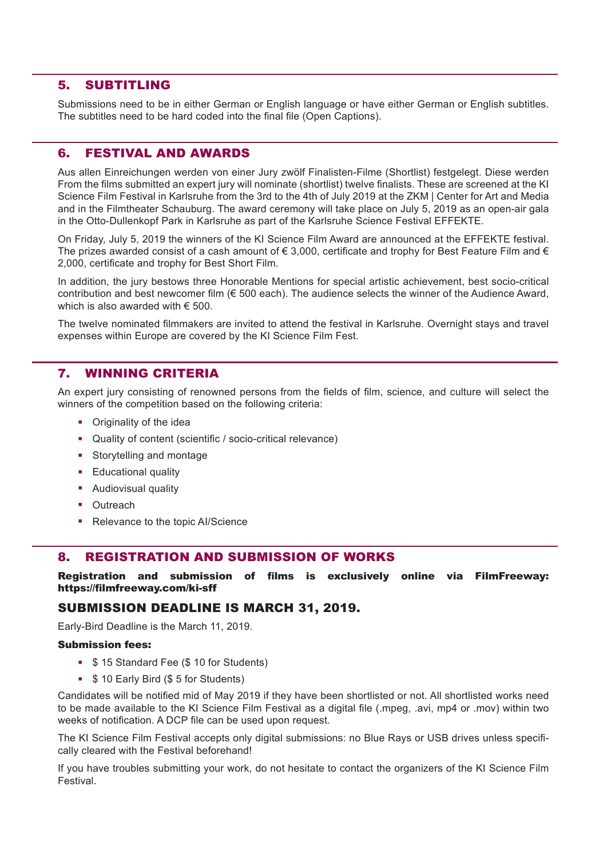#### 5. SUBTITLING

Submissions need to be in either German or English language or have either German or English subtitles. The subtitles need to be hard coded into the final file (Open Captions).

#### 6. FESTIVAL AND AWARDS

Aus allen Einreichungen werden von einer Jury zwölf Finalisten-Filme (Shortlist) festgelegt. Diese werden From the films submitted an expert jury will nominate (shortlist) twelve finalists. These are screened at the KI Science Film Festival in Karlsruhe from the 3rd to the 4th of July 2019 at the ZKM | Center for Art and Media and in the Filmtheater Schauburg. The award ceremony will take place on July 5, 2019 as an open-air gala in the Otto-Dullenkopf Park in Karlsruhe as part of the Karlsruhe Science Festival EFFEKTE.

On Friday, July 5, 2019 the winners of the KI Science Film Award are announced at the EFFEKTE festival. The prizes awarded consist of a cash amount of  $\epsilon$  3,000, certificate and trophy for Best Feature Film and  $\epsilon$ 2,000, certificate and trophy for Best Short Film.

In addition, the jury bestows three Honorable Mentions for special artistic achievement, best socio-critical contribution and best newcomer film (€ 500 each). The audience selects the winner of the Audience Award, which is also awarded with  $\epsilon$  500.

The twelve nominated filmmakers are invited to attend the festival in Karlsruhe. Overnight stays and travel expenses within Europe are covered by the KI Science Film Fest.

#### 7. WINNING CRITERIA

An expert jury consisting of renowned persons from the fields of film, science, and culture will select the winners of the competition based on the following criteria:

- Originality of the idea
- Quality of content (scientific / socio-critical relevance)
- **Storytelling and montage**
- **Educational quality**
- **Audiovisual quality**
- Outreach
- Relevance to the topic Al/Science

#### 8. REGISTRATION AND SUBMISSION OF WORKS

Registration and submission of films is exclusively online via FilmFreeway: https://filmfreeway.com/ki-sff

#### SUBMISSION DEADLINE IS MARCH 31, 2019.

Early-Bird Deadline is the March 11, 2019.

#### Submission fees:

- **\$ 15 Standard Fee (\$ 10 for Students)**
- **5 10 Early Bird (\$5 for Students)**

Candidates will be notified mid of May 2019 if they have been shortlisted or not. All shortlisted works need to be made available to the KI Science Film Festival as a digital file (.mpeg, .avi, mp4 or .mov) within two weeks of notification. A DCP file can be used upon request.

The KI Science Film Festival accepts only digital submissions: no Blue Rays or USB drives unless specifically cleared with the Festival beforehand!

If you have troubles submitting your work, do not hesitate to contact the organizers of the KI Science Film Festival.